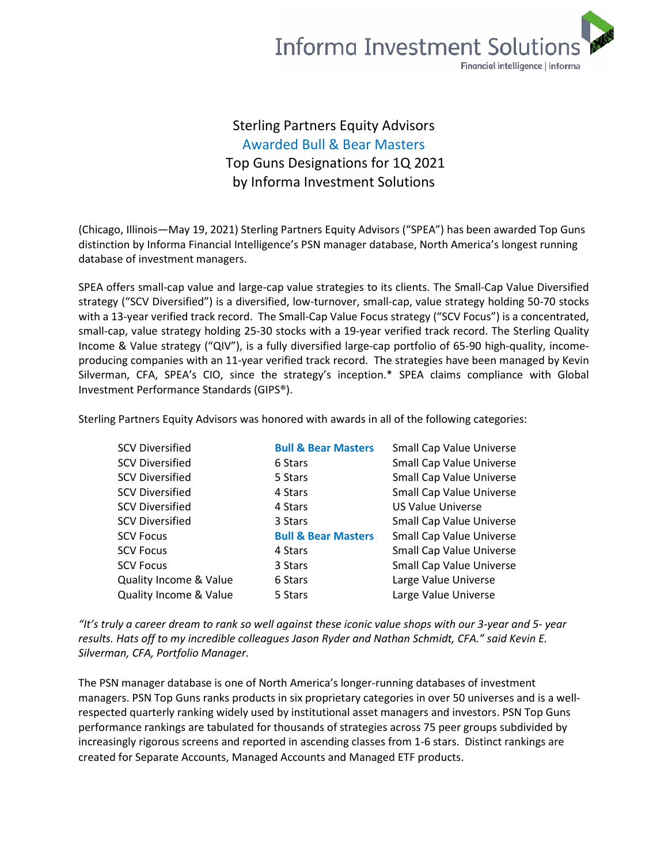## **Informa Investment Solutions** Financial intelligence | informa

## Sterling Partners Equity Advisors Awarded Bull & Bear Masters Top Guns Designations for 1Q 2021 by Informa Investment Solutions

(Chicago, Illinois—May 19, 2021) Sterling Partners Equity Advisors ("SPEA") has been awarded Top Guns distinction by Informa Financial Intelligence's PSN manager database, North America's longest running database of investment managers.

SPEA offers small-cap value and large-cap value strategies to its clients. The Small-Cap Value Diversified strategy ("SCV Diversified") is a diversified, low-turnover, small-cap, value strategy holding 50-70 stocks with a 13-year verified track record. The Small-Cap Value Focus strategy ("SCV Focus") is a concentrated, small-cap, value strategy holding 25-30 stocks with a 19-year verified track record. The Sterling Quality Income & Value strategy ("QIV"), is a fully diversified large-cap portfolio of 65-90 high-quality, incomeproducing companies with an 11-year verified track record. The strategies have been managed by Kevin Silverman, CFA, SPEA's CIO, since the strategy's inception.\* SPEA claims compliance with Global Investment Performance Standards (GIPS®).

Sterling Partners Equity Advisors was honored with awards in all of the following categories:

| <b>SCV Diversified</b>            | <b>Bull &amp; Bear Masters</b> | <b>Small Cap Value Universe</b> |
|-----------------------------------|--------------------------------|---------------------------------|
| <b>SCV Diversified</b>            | 6 Stars                        | <b>Small Cap Value Universe</b> |
| <b>SCV Diversified</b>            | 5 Stars                        | <b>Small Cap Value Universe</b> |
| <b>SCV Diversified</b>            | 4 Stars                        | Small Cap Value Universe        |
| <b>SCV Diversified</b>            | 4 Stars                        | <b>US Value Universe</b>        |
| <b>SCV Diversified</b>            | 3 Stars                        | <b>Small Cap Value Universe</b> |
| <b>SCV Focus</b>                  | <b>Bull &amp; Bear Masters</b> | Small Cap Value Universe        |
| <b>SCV Focus</b>                  | 4 Stars                        | <b>Small Cap Value Universe</b> |
| <b>SCV Focus</b>                  | 3 Stars                        | <b>Small Cap Value Universe</b> |
| <b>Quality Income &amp; Value</b> | 6 Stars                        | Large Value Universe            |
| <b>Quality Income &amp; Value</b> | 5 Stars                        | Large Value Universe            |

*"It's truly a career dream to rank so well against these iconic value shops with our 3-year and 5- year results. Hats off to my incredible colleagues Jason Ryder and Nathan Schmidt, CFA." said Kevin E. Silverman, CFA, Portfolio Manager.*

The PSN manager database is one of North America's longer-running databases of investment managers. PSN Top Guns ranks products in six proprietary categories in over 50 universes and is a wellrespected quarterly ranking widely used by institutional asset managers and investors. PSN Top Guns performance rankings are tabulated for thousands of strategies across 75 peer groups subdivided by increasingly rigorous screens and reported in ascending classes from 1-6 stars. Distinct rankings are created for Separate Accounts, Managed Accounts and Managed ETF products.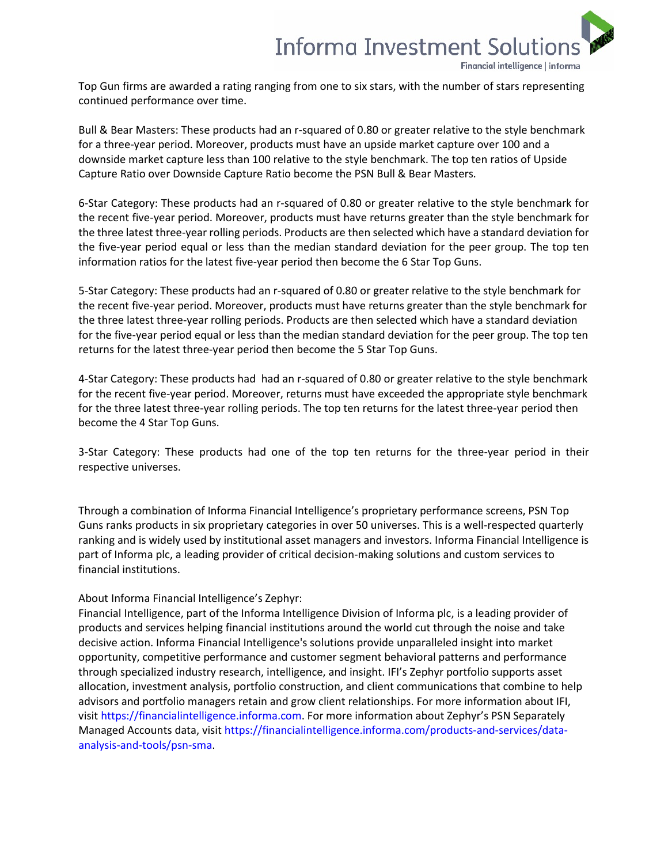

Top Gun firms are awarded a rating ranging from one to six stars, with the number of stars representing continued performance over time.

Bull & Bear Masters: These products had an r-squared of 0.80 or greater relative to the style benchmark for a three-year period. Moreover, products must have an upside market capture over 100 and a downside market capture less than 100 relative to the style benchmark. The top ten ratios of Upside Capture Ratio over Downside Capture Ratio become the PSN Bull & Bear Masters.

6-Star Category: These products had an r-squared of 0.80 or greater relative to the style benchmark for the recent five-year period. Moreover, products must have returns greater than the style benchmark for the three latest three-year rolling periods. Products are then selected which have a standard deviation for the five-year period equal or less than the median standard deviation for the peer group. The top ten information ratios for the latest five-year period then become the 6 Star Top Guns.

5-Star Category: These products had an r-squared of 0.80 or greater relative to the style benchmark for the recent five-year period. Moreover, products must have returns greater than the style benchmark for the three latest three-year rolling periods. Products are then selected which have a standard deviation for the five-year period equal or less than the median standard deviation for the peer group. The top ten returns for the latest three-year period then become the 5 Star Top Guns.

4-Star Category: These products had had an r-squared of 0.80 or greater relative to the style benchmark for the recent five-year period. Moreover, returns must have exceeded the appropriate style benchmark for the three latest three-year rolling periods. The top ten returns for the latest three-year period then become the 4 Star Top Guns.

3-Star Category: These products had one of the top ten returns for the three-year period in their respective universes.

Through a combination of Informa Financial Intelligence's proprietary performance screens, PSN Top Guns ranks products in six proprietary categories in over 50 universes. This is a well-respected quarterly ranking and is widely used by institutional asset managers and investors. Informa Financial Intelligence is part of Informa plc, a leading provider of critical decision-making solutions and custom services to financial institutions.

## About Informa Financial Intelligence's Zephyr:

Financial Intelligence, part of the Informa Intelligence Division of Informa plc, is a leading provider of products and services helping financial institutions around the world cut through the noise and take decisive action. Informa Financial Intelligence's solutions provide unparalleled insight into market opportunity, competitive performance and customer segment behavioral patterns and performance through specialized industry research, intelligence, and insight. IFI's Zephyr portfolio supports asset allocation, investment analysis, portfolio construction, and client communications that combine to help advisors and portfolio managers retain and grow client relationships. For more information about IFI, visi[t https://financialintelligence.informa.com.](https://financialintelligence.informa.com/) For more information about Zephyr's PSN Separately Managed Accounts data, visit [https://financialintelligence.informa.com/products-and-services/data](https://financialintelligence.informa.com/products-and-services/data-analysis-and-tools/psn-sma)[analysis-and-tools/psn-sma.](https://financialintelligence.informa.com/products-and-services/data-analysis-and-tools/psn-sma)